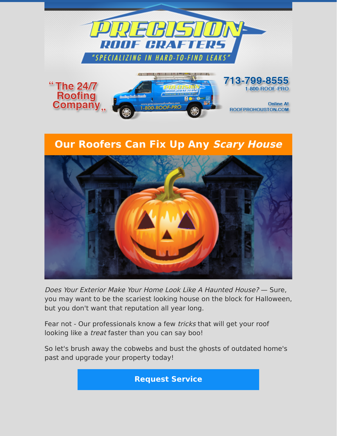

## **Our Roofers Can Fix Up Any Scary House**



Does Your Exterior Make Your Home Look Like A Haunted House? — Sure, you may want to be the scariest looking house on the block for Halloween, but you don't want that reputation all year long.

Fear not - Our professionals know a few *tricks* that will get your roof looking like a treat faster than you can say boo!

So let's brush away the cobwebs and bust the ghosts of outdated home's past and upgrade your property today!

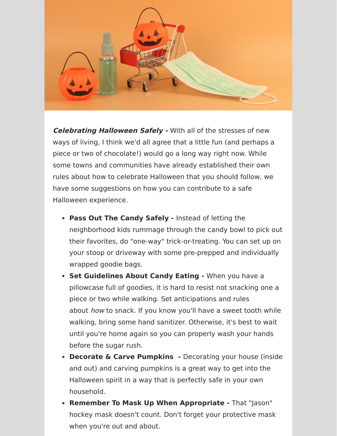

**Celebrating Halloween Safely -** With all of the stresses of new ways of living, I think we'd all agree that a little fun (and perhaps a piece or two of chocolate!) would go a long way right now. While some towns and communities have already established their own rules about how to celebrate Halloween that you should follow, we have some suggestions on how you can contribute to a safe Halloween experience.

- **Pass Out The Candy Safely** Instead of letting the neighborhood kids rummage through the candy bowl to pick out their favorites, do "one-way" trick-or-treating. You can set up on your stoop or driveway with some pre-prepped and individually wrapped goodie bags.
- **Set Guidelines About Candy Eating** When you have a pillowcase full of goodies, it is hard to resist not snacking one a piece or two while walking. Set anticipations and rules about how to snack. If you know you'll have a sweet tooth while walking, bring some hand sanitizer. Otherwise, it's best to wait until you're home again so you can properly wash your hands before the sugar rush.
- **Decorate & Carve Pumpkins -** Decorating your house (inside and out) and carving pumpkins is a great way to get into the Halloween spirit in a way that is perfectly safe in your own household.
- **Remember To Mask Up When Appropriate** That "Jason" hockey mask doesn't count. Don't forget your protective mask when you're out and about.